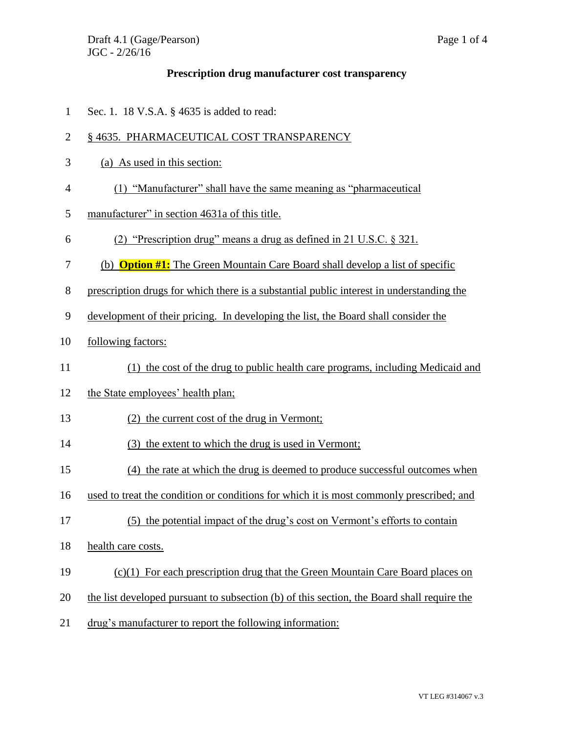## **Prescription drug manufacturer cost transparency**

Sec. 1. 18 V.S.A. § 4635 is added to read:

## 2 § 4635. PHARMACEUTICAL COST TRANSPARENCY

- (a) As used in this section:
- (1) "Manufacturer" shall have the same meaning as "pharmaceutical
- manufacturer" in section 4631a of this title.
- (2) "Prescription drug" means a drug as defined in 21 U.S.C. § 321.
- (b) **Option #1:** The Green Mountain Care Board shall develop a list of specific
- prescription drugs for which there is a substantial public interest in understanding the
- development of their pricing. In developing the list, the Board shall consider the
- following factors:
- (1) the cost of the drug to public health care programs, including Medicaid and
- the State employees' health plan;
- (2) the current cost of the drug in Vermont;
- (3) the extent to which the drug is used in Vermont;
- (4) the rate at which the drug is deemed to produce successful outcomes when
- used to treat the condition or conditions for which it is most commonly prescribed; and
- (5) the potential impact of the drug's cost on Vermont's efforts to contain
- health care costs.
- (c)(1) For each prescription drug that the Green Mountain Care Board places on
- the list developed pursuant to subsection (b) of this section, the Board shall require the
- drug's manufacturer to report the following information: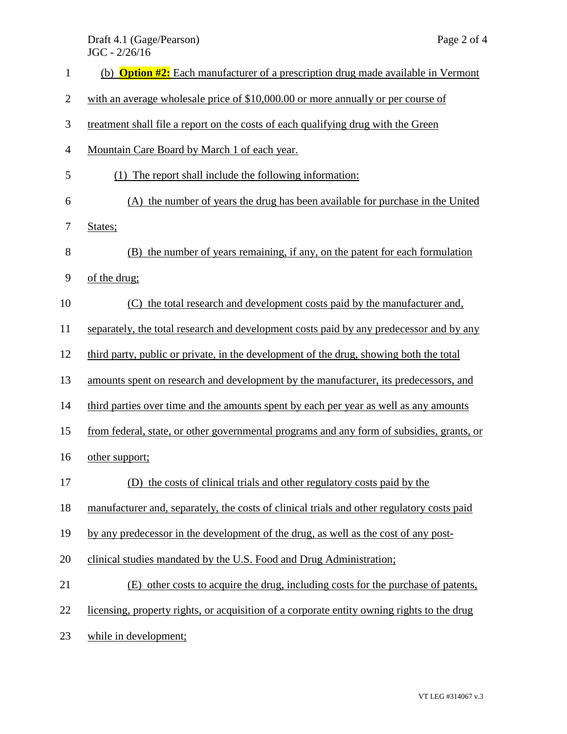## Draft 4.1 (Gage/Pearson) Page 2 of 4 JGC - 2/26/16

| $\mathbf{1}$   | (b) <b>Option #2:</b> Each manufacturer of a prescription drug made available in Vermont   |
|----------------|--------------------------------------------------------------------------------------------|
| $\overline{c}$ | with an average wholesale price of \$10,000.00 or more annually or per course of           |
| 3              | treatment shall file a report on the costs of each qualifying drug with the Green          |
| $\overline{4}$ | Mountain Care Board by March 1 of each year.                                               |
| 5              | The report shall include the following information:<br>(1)                                 |
| 6              | (A) the number of years the drug has been available for purchase in the United             |
| 7              | States;                                                                                    |
| 8              | (B) the number of years remaining, if any, on the patent for each formulation              |
| 9              | of the drug;                                                                               |
| 10             | the total research and development costs paid by the manufacturer and,<br>(C)              |
| 11             | separately, the total research and development costs paid by any predecessor and by any    |
| 12             | third party, public or private, in the development of the drug, showing both the total     |
| 13             | amounts spent on research and development by the manufacturer, its predecessors, and       |
| 14             | third parties over time and the amounts spent by each per year as well as any amounts      |
| 15             | from federal, state, or other governmental programs and any form of subsidies, grants, or  |
| 16             | other support;                                                                             |
| 17             | (D) the costs of clinical trials and other regulatory costs paid by the                    |
| 18             | manufacturer and, separately, the costs of clinical trials and other regulatory costs paid |
| 19             | by any predecessor in the development of the drug, as well as the cost of any post-        |
| 20             | clinical studies mandated by the U.S. Food and Drug Administration;                        |
| 21             | (E) other costs to acquire the drug, including costs for the purchase of patents,          |
| 22             | licensing, property rights, or acquisition of a corporate entity owning rights to the drug |
| 23             | while in development;                                                                      |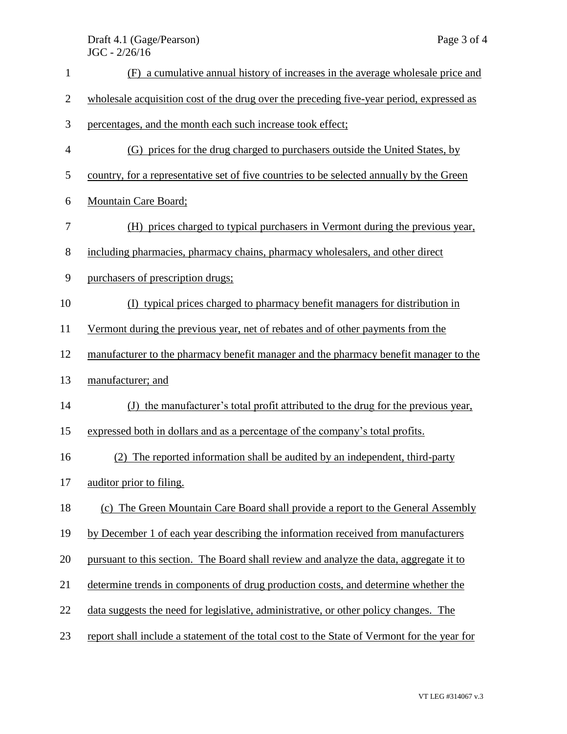| $\mathbf{1}$     | (F) a cumulative annual history of increases in the average wholesale price and             |
|------------------|---------------------------------------------------------------------------------------------|
| $\overline{c}$   | wholesale acquisition cost of the drug over the preceding five-year period, expressed as    |
| 3                | percentages, and the month each such increase took effect;                                  |
| 4                | (G) prices for the drug charged to purchasers outside the United States, by                 |
| 5                | country, for a representative set of five countries to be selected annually by the Green    |
| 6                | <b>Mountain Care Board;</b>                                                                 |
| $\boldsymbol{7}$ | (H) prices charged to typical purchasers in Vermont during the previous year,               |
| 8                | including pharmacies, pharmacy chains, pharmacy wholesalers, and other direct               |
| 9                | purchasers of prescription drugs;                                                           |
| 10               | (I) typical prices charged to pharmacy benefit managers for distribution in                 |
| 11               | Vermont during the previous year, net of rebates and of other payments from the             |
| 12               | manufacturer to the pharmacy benefit manager and the pharmacy benefit manager to the        |
| 13               | manufacturer; and                                                                           |
| 14               | (J) the manufacturer's total profit attributed to the drug for the previous year,           |
| 15               | expressed both in dollars and as a percentage of the company's total profits.               |
| 16               | (2) The reported information shall be audited by an independent, third-party                |
| 17               | auditor prior to filing.                                                                    |
| 18               | (c) The Green Mountain Care Board shall provide a report to the General Assembly            |
| 19               | by December 1 of each year describing the information received from manufacturers           |
| 20               | pursuant to this section. The Board shall review and analyze the data, aggregate it to      |
| 21               | determine trends in components of drug production costs, and determine whether the          |
| 22               | data suggests the need for legislative, administrative, or other policy changes. The        |
| 23               | report shall include a statement of the total cost to the State of Vermont for the year for |